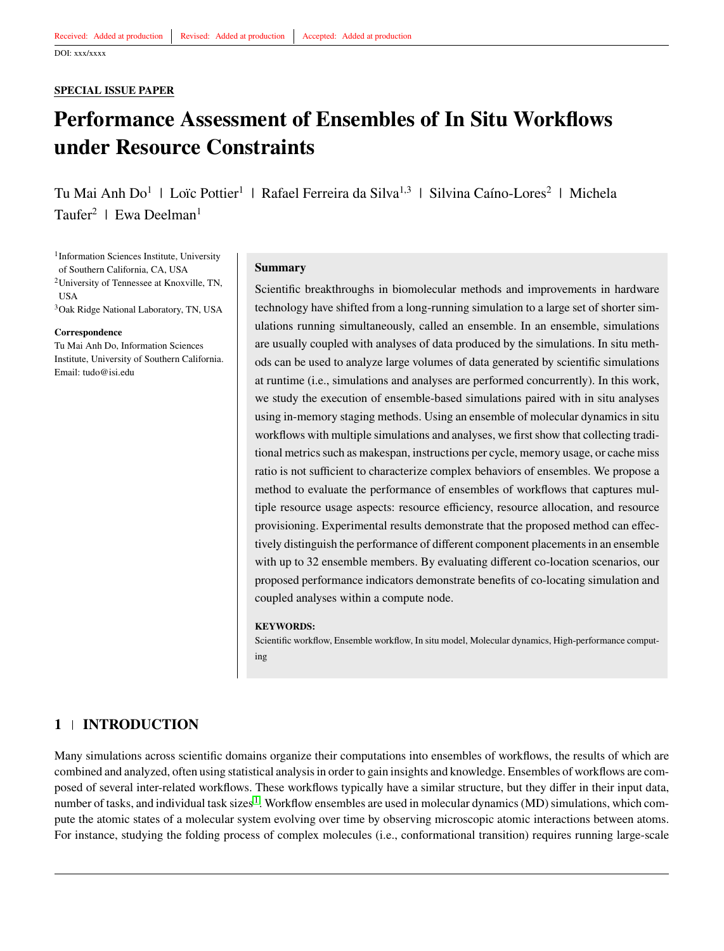#### **SPECIAL ISSUE PAPER**

# **Performance Assessment of Ensembles of In Situ Workflows under Resource Constraints**

Tu Mai Anh Do<sup>1</sup> | Loïc Pottier<sup>1</sup> | Rafael Ferreira da Silva<sup>1,3</sup> | Silvina Caíno-Lores<sup>2</sup> | Michela Taufer<sup>2</sup> | Ewa Deelman<sup>1</sup>

1 Information Sciences Institute, University of Southern California, CA, USA

<sup>2</sup>University of Tennessee at Knoxville, TN, **USA** 

<sup>3</sup>Oak Ridge National Laboratory, TN, USA

#### **Correspondence**

Tu Mai Anh Do, Information Sciences Institute, University of Southern California. Email: tudo@isi.edu

#### **Summary**

Scientific breakthroughs in biomolecular methods and improvements in hardware technology have shifted from a long-running simulation to a large set of shorter simulations running simultaneously, called an ensemble. In an ensemble, simulations are usually coupled with analyses of data produced by the simulations. In situ methods can be used to analyze large volumes of data generated by scientific simulations at runtime (i.e., simulations and analyses are performed concurrently). In this work, we study the execution of ensemble-based simulations paired with in situ analyses using in-memory staging methods. Using an ensemble of molecular dynamics in situ workflows with multiple simulations and analyses, we first show that collecting traditional metrics such as makespan, instructions per cycle, memory usage, or cache miss ratio is not sufficient to characterize complex behaviors of ensembles. We propose a method to evaluate the performance of ensembles of workflows that captures multiple resource usage aspects: resource efficiency, resource allocation, and resource provisioning. Experimental results demonstrate that the proposed method can effectively distinguish the performance of different component placements in an ensemble with up to 32 ensemble members. By evaluating different co-location scenarios, our proposed performance indicators demonstrate benefits of co-locating simulation and coupled analyses within a compute node.

#### **KEYWORDS:**

Scientific workflow, Ensemble workflow, In situ model, Molecular dynamics, High-performance computing

## **1 INTRODUCTION**

Many simulations across scientific domains organize their computations into ensembles of workflows, the results of which are combined and analyzed, often using statistical analysis in order to gain insights and knowledge. Ensembles of workflows are composed of several inter-related workflows. These workflows typically have a similar structure, but they differ in their input data, number of tasks, and individual task sizes<sup>[1](#page-16-0)</sup>. Workflow ensembles are used in molecular dynamics (MD) simulations, which compute the atomic states of a molecular system evolving over time by observing microscopic atomic interactions between atoms. For instance, studying the folding process of complex molecules (i.e., conformational transition) requires running large-scale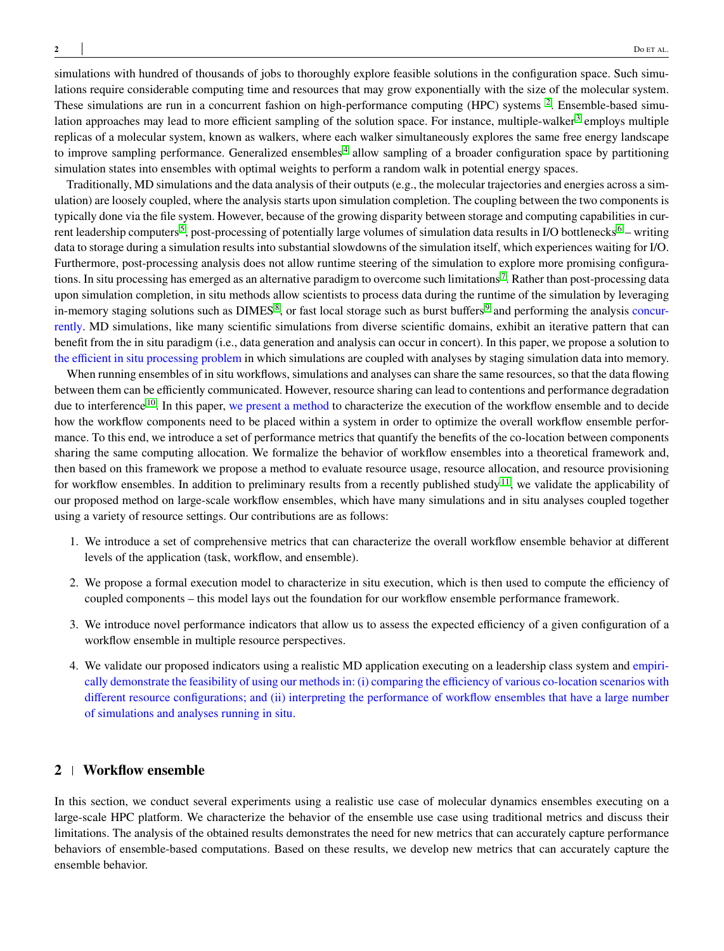simulations with hundred of thousands of jobs to thoroughly explore feasible solutions in the configuration space. Such simulations require considerable computing time and resources that may grow exponentially with the size of the molecular system. These simulations are run in a concurrent fashion on high-performance computing (HPC) systems <sup>[2](#page-16-1)</sup>. Ensemble-based simu-lation approaches may lead to more efficient sampling of the solution space. For instance, multiple-walker<sup>[3](#page-16-2)</sup> employs multiple replicas of a molecular system, known as walkers, where each walker simultaneously explores the same free energy landscape to improve sampling performance. Generalized ensembles<sup>[4](#page-16-3)</sup> allow sampling of a broader configuration space by partitioning simulation states into ensembles with optimal weights to perform a random walk in potential energy spaces.

Traditionally, MD simulations and the data analysis of their outputs (e.g., the molecular trajectories and energies across a simulation) are loosely coupled, where the analysis starts upon simulation completion. The coupling between the two components is typically done via the file system. However, because of the growing disparity between storage and computing capabilities in cur-rent leadership computers<sup>[5](#page-16-4)</sup>, post-processing of potentially large volumes of simulation data results in I/O bottlenecks<sup>[6](#page-16-5)</sup> – writing data to storage during a simulation results into substantial slowdowns of the simulation itself, which experiences waiting for I/O. Furthermore, post-processing analysis does not allow runtime steering of the simulation to explore more promising configura-tions. In situ processing has emerged as an alternative paradigm to overcome such limitations<sup>[7](#page-16-6)</sup>. Rather than post-processing data upon simulation completion, in situ methods allow scientists to process data during the runtime of the simulation by leveraging in-memory staging solutions such as DIMES<sup>[8](#page-16-7)</sup>, or fast local storage such as burst buffers<sup>[9](#page-16-8)</sup> and performing the analysis concurrently. MD simulations, like many scientific simulations from diverse scientific domains, exhibit an iterative pattern that can benefit from the in situ paradigm (i.e., data generation and analysis can occur in concert). In this paper, we propose a solution to the efficient in situ processing problem in which simulations are coupled with analyses by staging simulation data into memory.

When running ensembles of in situ workflows, simulations and analyses can share the same resources, so that the data flowing between them can be efficiently communicated. However, resource sharing can lead to contentions and performance degradation due to interference <sup>[10](#page-16-9)</sup>. In this paper, we present a method to characterize the execution of the workflow ensemble and to decide how the workflow components need to be placed within a system in order to optimize the overall workflow ensemble performance. To this end, we introduce a set of performance metrics that quantify the benefits of the co-location between components sharing the same computing allocation. We formalize the behavior of workflow ensembles into a theoretical framework and, then based on this framework we propose a method to evaluate resource usage, resource allocation, and resource provisioning for workflow ensembles. In addition to preliminary results from a recently published study<sup>[11](#page-16-10)</sup>, we validate the applicability of our proposed method on large-scale workflow ensembles, which have many simulations and in situ analyses coupled together using a variety of resource settings. Our contributions are as follows:

- 1. We introduce a set of comprehensive metrics that can characterize the overall workflow ensemble behavior at different levels of the application (task, workflow, and ensemble).
- 2. We propose a formal execution model to characterize in situ execution, which is then used to compute the efficiency of coupled components – this model lays out the foundation for our workflow ensemble performance framework.
- 3. We introduce novel performance indicators that allow us to assess the expected efficiency of a given configuration of a workflow ensemble in multiple resource perspectives.
- 4. We validate our proposed indicators using a realistic MD application executing on a leadership class system and empirically demonstrate the feasibility of using our methods in: (i) comparing the efficiency of various co-location scenarios with different resource configurations; and (ii) interpreting the performance of workflow ensembles that have a large number of simulations and analyses running in situ.

## <span id="page-1-0"></span>**2 Workflow ensemble**

In this section, we conduct several experiments using a realistic use case of molecular dynamics ensembles executing on a large-scale HPC platform. We characterize the behavior of the ensemble use case using traditional metrics and discuss their limitations. The analysis of the obtained results demonstrates the need for new metrics that can accurately capture performance behaviors of ensemble-based computations. Based on these results, we develop new metrics that can accurately capture the ensemble behavior.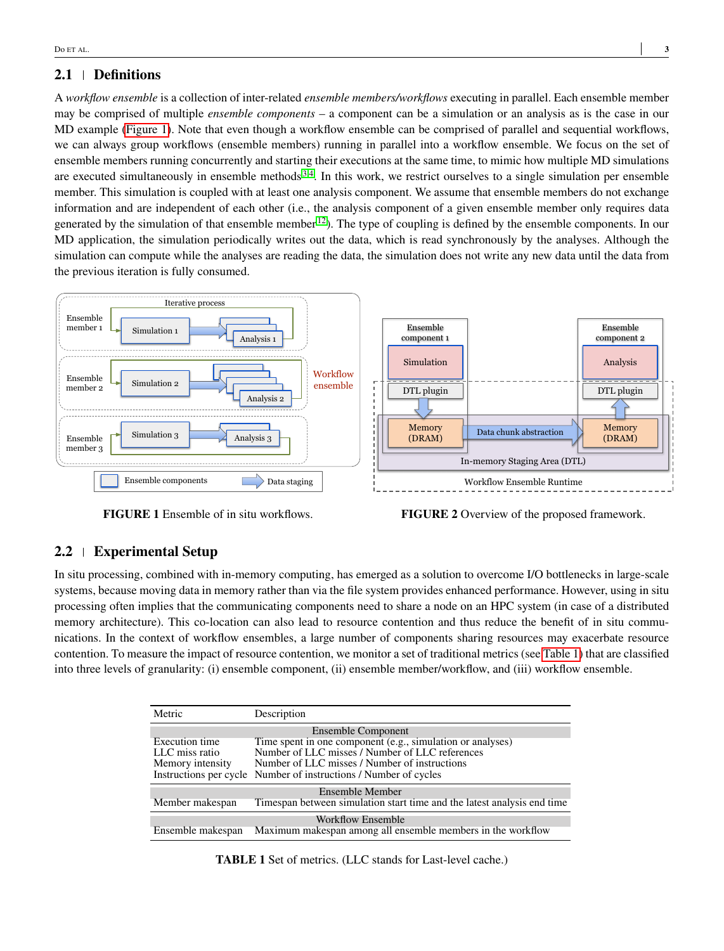## **2.1 Definitions**

A *workflow ensemble* is a collection of inter-related *ensemble members/workflows* executing in parallel. Each ensemble member may be comprised of multiple *ensemble components* – a component can be a simulation or an analysis as is the case in our MD example [\(Figure 1\)](#page-2-0). Note that even though a workflow ensemble can be comprised of parallel and sequential workflows, we can always group workflows (ensemble members) running in parallel into a workflow ensemble. We focus on the set of ensemble members running concurrently and starting their executions at the same time, to mimic how multiple MD simulations are executed simultaneously in ensemble methods  $3,4$  $3,4$ . In this work, we restrict ourselves to a single simulation per ensemble member. This simulation is coupled with at least one analysis component. We assume that ensemble members do not exchange information and are independent of each other (i.e., the analysis component of a given ensemble member only requires data generated by the simulation of that ensemble member  $12$ ). The type of coupling is defined by the ensemble components. In our MD application, the simulation periodically writes out the data, which is read synchronously by the analyses. Although the simulation can compute while the analyses are reading the data, the simulation does not write any new data until the data from the previous iteration is fully consumed.

<span id="page-2-0"></span>

**FIGURE 1** Ensemble of in situ workflows.

**FIGURE 2** Overview of the proposed framework.

## <span id="page-2-2"></span>**2.2 Experimental Setup**

In situ processing, combined with in-memory computing, has emerged as a solution to overcome I/O bottlenecks in large-scale systems, because moving data in memory rather than via the file system provides enhanced performance. However, using in situ processing often implies that the communicating components need to share a node on an HPC system (in case of a distributed memory architecture). This co-location can also lead to resource contention and thus reduce the benefit of in situ communications. In the context of workflow ensembles, a large number of components sharing resources may exacerbate resource contention. To measure the impact of resource contention, we monitor a set of traditional metrics (see [Table 1\)](#page-2-1) that are classified into three levels of granularity: (i) ensemble component, (ii) ensemble member/workflow, and (iii) workflow ensemble.

<span id="page-2-1"></span>

| <b>Metric</b>            | Description                                                             |  |  |  |  |
|--------------------------|-------------------------------------------------------------------------|--|--|--|--|
|                          | Ensemble Component                                                      |  |  |  |  |
| Execution time           | Time spent in one component (e.g., simulation or analyses)              |  |  |  |  |
| LLC miss ratio           | Number of LLC misses / Number of LLC references                         |  |  |  |  |
| Memory intensity         | Number of LLC misses / Number of instructions                           |  |  |  |  |
|                          | Instructions per cycle Number of instructions / Number of cycles        |  |  |  |  |
| Ensemble Member          |                                                                         |  |  |  |  |
| Member makespan          | Timespan between simulation start time and the latest analysis end time |  |  |  |  |
| <b>Workflow Ensemble</b> |                                                                         |  |  |  |  |
| Ensemble makespan        | Maximum makespan among all ensemble members in the workflow             |  |  |  |  |

**TABLE 1** Set of metrics. (LLC stands for Last-level cache.)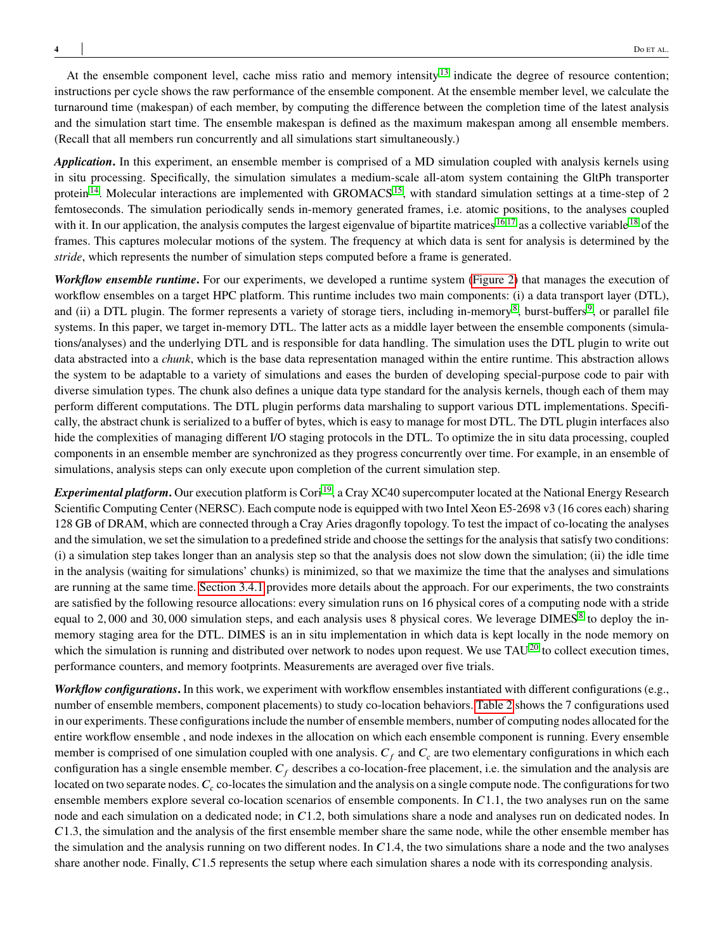At the ensemble component level, cache miss ratio and memory intensity<sup>[13](#page-16-12)</sup> indicate the degree of resource contention; instructions per cycle shows the raw performance of the ensemble component. At the ensemble member level, we calculate the turnaround time (makespan) of each member, by computing the difference between the completion time of the latest analysis and the simulation start time. The ensemble makespan is defined as the maximum makespan among all ensemble members. (Recall that all members run concurrently and all simulations start simultaneously.)

*Application***.** In this experiment, an ensemble member is comprised of a MD simulation coupled with analysis kernels using in situ processing. Specifically, the simulation simulates a medium-scale all-atom system containing the GltPh transporter protein<sup>[14](#page-16-13)</sup>. Molecular interactions are implemented with GROMACS<sup>[15](#page-16-14)</sup>, with standard simulation settings at a time-step of 2 femtoseconds. The simulation periodically sends in-memory generated frames, i.e. atomic positions, to the analyses coupled with it. In our application, the analysis computes the largest eigenvalue of bipartite matrices <sup>[16](#page-17-0)[,17](#page-17-1)</sup> as a collective variable <sup>[18](#page-17-2)</sup> of the frames. This captures molecular motions of the system. The frequency at which data is sent for analysis is determined by the *stride*, which represents the number of simulation steps computed before a frame is generated.

*Workflow ensemble runtime***.** For our experiments, we developed a runtime system [\(Figure 2\)](#page-2-0) that manages the execution of workflow ensembles on a target HPC platform. This runtime includes two main components: (i) a data transport layer (DTL), and (ii) a DTL plugin. The former represents a variety of storage tiers, including in-memory<sup>[8](#page-16-7)</sup>, burst-buffers<sup>[9](#page-16-8)</sup>, or parallel file systems. In this paper, we target in-memory DTL. The latter acts as a middle layer between the ensemble components (simulations/analyses) and the underlying DTL and is responsible for data handling. The simulation uses the DTL plugin to write out data abstracted into a *chunk*, which is the base data representation managed within the entire runtime. This abstraction allows the system to be adaptable to a variety of simulations and eases the burden of developing special-purpose code to pair with diverse simulation types. The chunk also defines a unique data type standard for the analysis kernels, though each of them may perform different computations. The DTL plugin performs data marshaling to support various DTL implementations. Specifically, the abstract chunk is serialized to a buffer of bytes, which is easy to manage for most DTL. The DTL plugin interfaces also hide the complexities of managing different I/O staging protocols in the DTL. To optimize the in situ data processing, coupled components in an ensemble member are synchronized as they progress concurrently over time. For example, in an ensemble of simulations, analysis steps can only execute upon completion of the current simulation step.

*Experimental platform*. Our execution platform is Cori<sup>[19](#page-17-3)</sup>, a Cray XC40 supercomputer located at the National Energy Research Scientific Computing Center (NERSC). Each compute node is equipped with two Intel Xeon E5-2698 v3 (16 cores each) sharing 128 GB of DRAM, which are connected through a Cray Aries dragonfly topology. To test the impact of co-locating the analyses and the simulation, we set the simulation to a predefined stride and choose the settings for the analysis that satisfy two conditions: (i) a simulation step takes longer than an analysis step so that the analysis does not slow down the simulation; (ii) the idle time in the analysis (waiting for simulations' chunks) is minimized, so that we maximize the time that the analyses and simulations are running at the same time. [Section 3.4.1](#page-7-0) provides more details about the approach. For our experiments, the two constraints are satisfied by the following resource allocations: every simulation runs on 16 physical cores of a computing node with a stride equal to 2,000 and 30,000 simulation steps, and each analysis uses [8](#page-16-7) physical cores. We leverage DIMES<sup>8</sup> to deploy the inmemory staging area for the DTL. DIMES is an in situ implementation in which data is kept locally in the node memory on which the simulation is running and distributed over network to nodes upon request. We use TAU<sup>[20](#page-17-4)</sup> to collect execution times, performance counters, and memory footprints. Measurements are averaged over five trials.

*Workflow configurations***.** In this work, we experiment with workflow ensembles instantiated with different configurations (e.g., number of ensemble members, component placements) to study co-location behaviors. [Table 2](#page-4-0) shows the 7 configurations used in our experiments. These configurations include the number of ensemble members, number of computing nodes allocated for the entire workflow ensemble , and node indexes in the allocation on which each ensemble component is running. Every ensemble member is comprised of one simulation coupled with one analysis.  $C_f$  and  $C_c$  are two elementary configurations in which each configuration has a single ensemble member.  $C_f$  describes a co-location-free placement, i.e. the simulation and the analysis are located on two separate nodes.  $C_c$  co-locates the simulation and the analysis on a single compute node. The configurations for two ensemble members explore several co-location scenarios of ensemble components. In C1.1, the two analyses run on the same node and each simulation on a dedicated node; in C1.2, both simulations share a node and analyses run on dedicated nodes. In *𝐶*1*.*3, the simulation and the analysis of the first ensemble member share the same node, while the other ensemble member has the simulation and the analysis running on two different nodes. In  $C<sub>1.4</sub>$ , the two simulations share a node and the two analyses share another node. Finally, *C*1.5 represents the setup where each simulation shares a node with its corresponding analysis.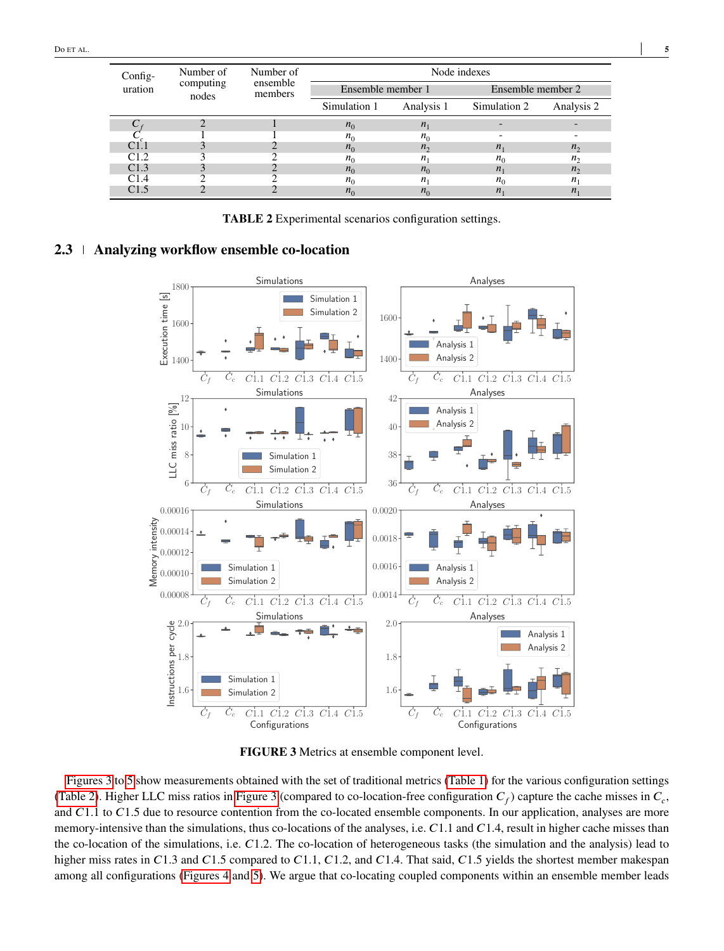<span id="page-4-0"></span>

| Config-          | Number of          | Number of<br>ensemble<br>members | Node indexes      |                |                   |                |  |  |
|------------------|--------------------|----------------------------------|-------------------|----------------|-------------------|----------------|--|--|
| uration          | computing<br>nodes |                                  | Ensemble member 1 |                | Ensemble member 2 |                |  |  |
|                  |                    |                                  | Simulation 1      | Analysis 1     | Simulation 2      | Analysis 2     |  |  |
|                  |                    |                                  | $n_0$             | n <sub>1</sub> |                   |                |  |  |
|                  |                    |                                  | n <sub>0</sub>    | $n_0$          |                   |                |  |  |
|                  |                    |                                  | $n_0$             | $n_{\gamma}$   | $n_{1}$           | $n_{\gamma}$   |  |  |
| C1.2             |                    |                                  | $n_0$             | $n_{1}$        | $n_0$             | n <sub>2</sub> |  |  |
| C <sub>1.3</sub> |                    |                                  | $n_0$             | $n_0$          | $n_{1}$           | n <sub>2</sub> |  |  |
| C1.4             |                    |                                  | $n_0$             | $n_{1}$        | $n_0$             | $n_{1}$        |  |  |
| C1.5             |                    |                                  | $n_0$             | $n_0$          | $n_{1}$           | $n_{1}$        |  |  |

**TABLE 2** Experimental scenarios configuration settings.

# <span id="page-4-2"></span><span id="page-4-1"></span>**2.3 Analyzing workflow ensemble co-location**



**FIGURE 3** Metrics at ensemble component level.

[Figures 3](#page-4-1) to [5](#page-5-0) show measurements obtained with the set of traditional metrics [\(Table 1\)](#page-2-1) for the various configuration settings [\(Table 2\)](#page-4-0). Higher LLC miss ratios in [Figure 3](#page-4-1) (compared to co-location-free configuration  $C_f$ ) capture the cache misses in  $C_c$ , and *C*1.1 to *C*1.5 due to resource contention from the co-located ensemble components. In our application, analyses are more memory-intensive than the simulations, thus co-locations of the analyses, i.e. C1.1 and C1.4, result in higher cache misses than the co-location of the simulations, i.e. *C*1.2. The co-location of heterogeneous tasks (the simulation and the analysis) lead to higher miss rates in C1.3 and C1.5 compared to C1.1, C1.2, and C1.4. That said, C1.5 yields the shortest member makespan among all configurations [\(Figures 4](#page-5-0) and [5\)](#page-5-0). We argue that co-locating coupled components within an ensemble member leads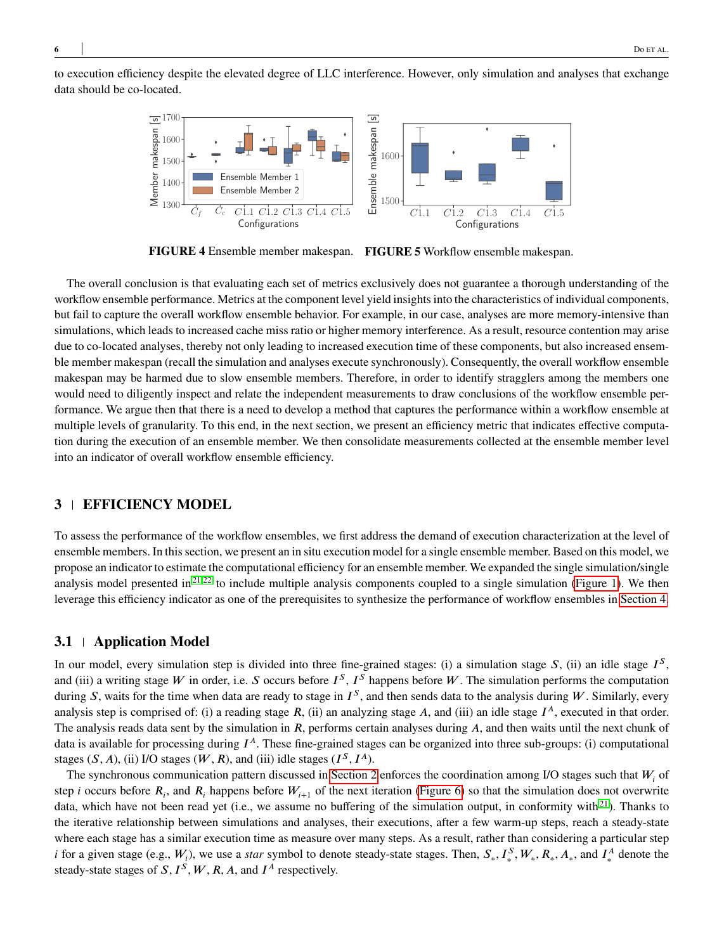<span id="page-5-0"></span>to execution efficiency despite the elevated degree of LLC interference. However, only simulation and analyses that exchange data should be co-located.



**FIGURE 4** Ensemble member makespan. **FIGURE 5** Workflow ensemble makespan.

The overall conclusion is that evaluating each set of metrics exclusively does not guarantee a thorough understanding of the workflow ensemble performance. Metrics at the component level yield insights into the characteristics of individual components, but fail to capture the overall workflow ensemble behavior. For example, in our case, analyses are more memory-intensive than simulations, which leads to increased cache miss ratio or higher memory interference. As a result, resource contention may arise due to co-located analyses, thereby not only leading to increased execution time of these components, but also increased ensemble member makespan (recall the simulation and analyses execute synchronously). Consequently, the overall workflow ensemble makespan may be harmed due to slow ensemble members. Therefore, in order to identify stragglers among the members one would need to diligently inspect and relate the independent measurements to draw conclusions of the workflow ensemble performance. We argue then that there is a need to develop a method that captures the performance within a workflow ensemble at multiple levels of granularity. To this end, in the next section, we present an efficiency metric that indicates effective computation during the execution of an ensemble member. We then consolidate measurements collected at the ensemble member level into an indicator of overall workflow ensemble efficiency.

## **3 EFFICIENCY MODEL**

To assess the performance of the workflow ensembles, we first address the demand of execution characterization at the level of ensemble members. In this section, we present an in situ execution model for a single ensemble member. Based on this model, we propose an indicator to estimate the computational efficiency for an ensemble member. We expanded the single simulation/single analysis model presented in<sup>[21](#page-17-5)[,22](#page-17-6)</sup> to include multiple analysis components coupled to a single simulation [\(Figure 1\)](#page-2-0). We then leverage this efficiency indicator as one of the prerequisites to synthesize the performance of workflow ensembles in [Section 4.](#page-9-0)

#### **3.1 Application Model**

In our model, every simulation step is divided into three fine-grained stages: (i) a simulation stage *S*, (ii) an idle stage *I<sup>S</sup>*, and (iii) a writing stage *W* in order, i.e. *S* occurs before  $I^S$ ,  $I^S$  happens before *W*. The simulation performs the computation during *S*, waits for the time when data are ready to stage in  $I^S$ , and then sends data to the analysis during W. Similarly, every analysis step is comprised of: (i) a reading stage *R*, (ii) an analyzing stage *A*, and (iii) an idle stage  $I^A$ , executed in that order. The analysis reads data sent by the simulation in *R*, performs certain analyses during *A*, and then waits until the next chunk of data is available for processing during  $I^A$ . These fine-grained stages can be organized into three sub-groups: (i) computational stages  $(S, A)$ , (ii) I/O stages  $(W, R)$ , and (iii) idle stages  $(I^S, I^A)$ .

The synchronous communication pattern discussed in [Section 2](#page-1-0) enforces the coordination among I/O stages such that *W<sub>i</sub>* of step *i* occurs before  $R_i$ , and  $R_i$  happens before  $W_{i+1}$  of the next iteration [\(Figure 6\)](#page-6-0) so that the simulation does not overwrite data, which have not been read yet (i.e., we assume no buffering of the simulation output, in conformity with $2<sup>1</sup>$ ). Thanks to the iterative relationship between simulations and analyses, their executions, after a few warm-up steps, reach a steady-state where each stage has a similar execution time as measure over many steps. As a result, rather than considering a particular step *i* for a given stage (e.g.,  $W_i$ ), we use a *star* symbol to denote steady-state stages. Then,  $S_*, I_*^S, W_*, R_*, A_*,$  and  $I_*^A$  denote the steady-state stages of  $S, I^S, W, R, A$ , and  $I^A$  respectively.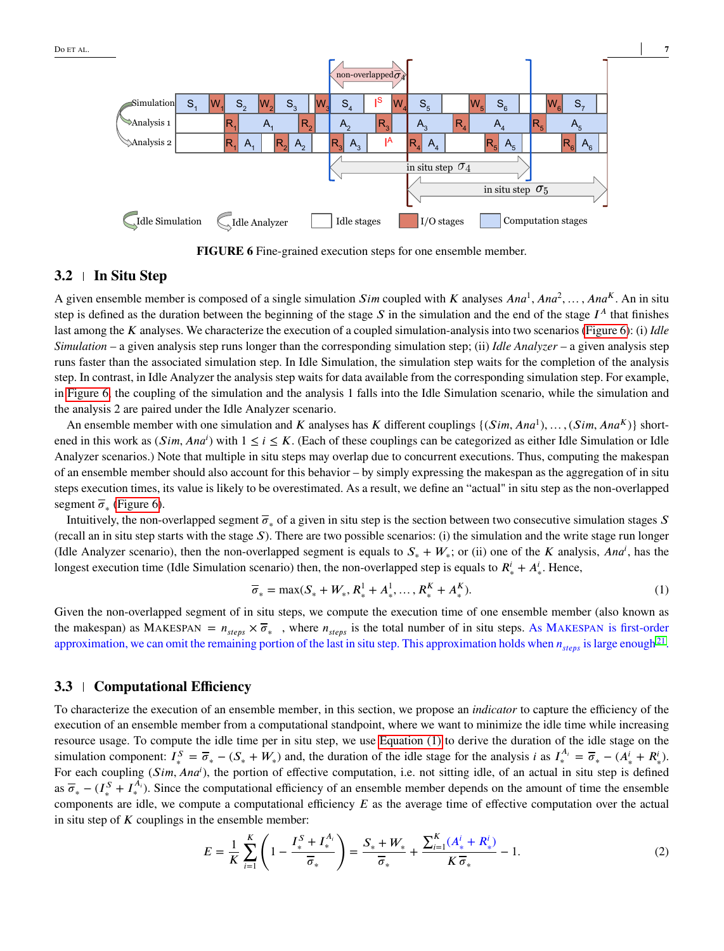<span id="page-6-0"></span>

**FIGURE 6** Fine-grained execution steps for one ensemble member.

## <span id="page-6-2"></span>**3.2 In Situ Step**

A given ensemble member is composed of a single simulation *Sim* coupled with *K* analyses *Ana*<sup>1</sup>, *Ana*<sup>2</sup>, ..., *Ana<sup>K</sup>*. An in situ step is defined as the duration between the beginning of the stage  $S$  in the simulation and the end of the stage  $I^A$  that finishes last among the *K* analyses. We characterize the execution of a coupled simulation-analysis into two scenarios [\(Figure 6\)](#page-6-0): (i) *Idle Simulation* – a given analysis step runs longer than the corresponding simulation step; (ii) *Idle Analyzer* – a given analysis step runs faster than the associated simulation step. In Idle Simulation, the simulation step waits for the completion of the analysis step. In contrast, in Idle Analyzer the analysis step waits for data available from the corresponding simulation step. For example, in [Figure 6,](#page-6-0) the coupling of the simulation and the analysis 1 falls into the Idle Simulation scenario, while the simulation and the analysis 2 are paired under the Idle Analyzer scenario.

An ensemble member with one simulation and *K* analyses has *K* different couplings  $\{(Sim, Ana^1), \ldots, (Sim, Ana^K)\}$  shortened in this work as  $(Sim, Ana^i)$  with  $1 \le i \le K$ . (Each of these couplings can be categorized as either Idle Simulation or Idle Analyzer scenarios.) Note that multiple in situ steps may overlap due to concurrent executions. Thus, computing the makespan of an ensemble member should also account for this behavior – by simply expressing the makespan as the aggregation of in situ steps execution times, its value is likely to be overestimated. As a result, we define an "actual" in situ step as the non-overlapped segment  $\overline{\sigma}_*$  [\(Figure 6\)](#page-6-0).

Intuitively, the non-overlapped segment  $\overline{\sigma}_*$  of a given in situ step is the section between two consecutive simulation stages *S* (recall an in situ step starts with the stage  $S$ ). There are two possible scenarios: (i) the simulation and the write stage run longer (Idle Analyzer scenario), then the non-overlapped segment is equals to  $S_* + W_*$ ; or (ii) one of the *K* analysis, *Ana<sup>i</sup>*, has the longest execution time (Idle Simulation scenario) then, the non-overlapped step is equals to  $R^i_* + A^i_*$ . Hence,

<span id="page-6-1"></span>
$$
\overline{\sigma}_* = \max(S_* + W_*, R_*^1 + A_*^1, \dots, R_*^K + A_*^K). \tag{1}
$$

Given the non-overlapped segment of in situ steps, we compute the execution time of one ensemble member (also known as the makespan) as MAKESPAN =  $n_{steps} \times \overline{\sigma}_{*}$ , where  $n_{steps}$  is the total number of in situ steps. As MAKESPAN is first-order approximation, we can omit the remaining portion of the last in situ step. This approximation holds when  $n_{steps}$  is large enough<sup>[21](#page-17-5)</sup>.

## <span id="page-6-4"></span>**3.3 Computational Efficiency**

To characterize the execution of an ensemble member, in this section, we propose an *indicator* to capture the efficiency of the execution of an ensemble member from a computational standpoint, where we want to minimize the idle time while increasing resource usage. To compute the idle time per in situ step, we use [Equation \(1\)](#page-6-1) to derive the duration of the idle stage on the simulation component:  $I_*^S = \overline{\sigma}_* - (S_* + W_*)$  and, the duration of the idle stage for the analysis *i* as  $I_*^{A_i} = \overline{\sigma}_* - (A_*^i + R_*^i)$ . For each coupling (*Sim*, Ana<sup>i</sup>), the portion of effective computation, i.e. not sitting idle, of an actual in situ step is defined as  $\overline{\sigma}_{*} - (I_{*}^{S} + I_{*}^{A_{i}})$ . Since the computational efficiency of an ensemble member depends on the amount of time the ensemble components are idle, we compute a computational efficiency *E* as the average time of effective computation over the actual in situ step of  $K$  couplings in the ensemble member:

<span id="page-6-3"></span>
$$
E = \frac{1}{K} \sum_{i=1}^{K} \left( 1 - \frac{I_*^S + I_*^{A_i}}{\overline{\sigma}_*} \right) = \frac{S_* + W_*}{\overline{\sigma}_*} + \frac{\sum_{i=1}^{K} (A_*^i + R_*^i)}{K \overline{\sigma}_*} - 1.
$$
 (2)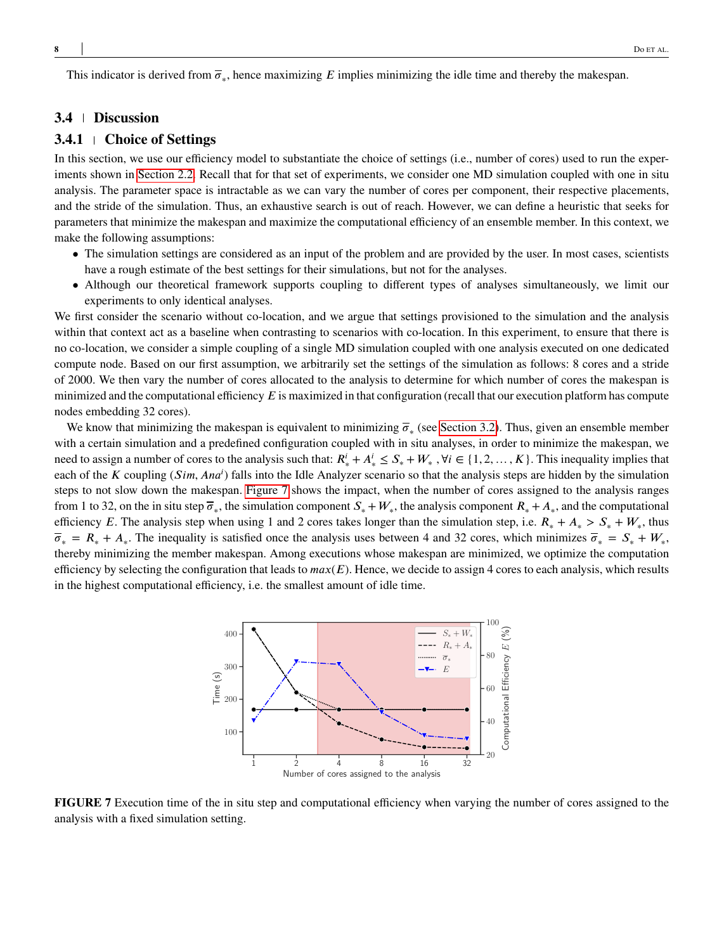This indicator is derived from  $\overline{\sigma}_*$ , hence maximizing *E* implies minimizing the idle time and thereby the makespan.

## **3.4 Discussion**

## <span id="page-7-0"></span>**3.4.1 Choice of Settings**

In this section, we use our efficiency model to substantiate the choice of settings (i.e., number of cores) used to run the experiments shown in [Section 2.2.](#page-2-2) Recall that for that set of experiments, we consider one MD simulation coupled with one in situ analysis. The parameter space is intractable as we can vary the number of cores per component, their respective placements, and the stride of the simulation. Thus, an exhaustive search is out of reach. However, we can define a heuristic that seeks for parameters that minimize the makespan and maximize the computational efficiency of an ensemble member. In this context, we make the following assumptions:

- The simulation settings are considered as an input of the problem and are provided by the user. In most cases, scientists have a rough estimate of the best settings for their simulations, but not for the analyses.
- Although our theoretical framework supports coupling to different types of analyses simultaneously, we limit our experiments to only identical analyses.

We first consider the scenario without co-location, and we argue that settings provisioned to the simulation and the analysis within that context act as a baseline when contrasting to scenarios with co-location. In this experiment, to ensure that there is no co-location, we consider a simple coupling of a single MD simulation coupled with one analysis executed on one dedicated compute node. Based on our first assumption, we arbitrarily set the settings of the simulation as follows: 8 cores and a stride of 2000. We then vary the number of cores allocated to the analysis to determine for which number of cores the makespan is minimized and the computational efficiency  $E$  is maximized in that configuration (recall that our execution platform has compute nodes embedding 32 cores).

We know that minimizing the makespan is equivalent to minimizing  $\overline{\sigma}_*$  (see [Section 3.2\)](#page-6-2). Thus, given an ensemble member with a certain simulation and a predefined configuration coupled with in situ analyses, in order to minimize the makespan, we need to assign a number of cores to the analysis such that:  $R^i_* + A^i_* \leq S_* + W_*$ ,  $\forall i \in \{1, 2, ..., K\}$ . This inequality implies that each of the *K* coupling (*Sim*, *Ana<sup>i</sup>*) falls into the Idle Analyzer scenario so that the analysis steps are hidden by the simulation steps to not slow down the makespan. [Figure 7](#page-7-1) shows the impact, when the number of cores assigned to the analysis ranges from 1 to 32, on the in situ step  $\overline{\sigma}_*$ , the simulation component  $S_* + W_*$ , the analysis component  $R_* + A_*$ , and the computational efficiency *E*. The analysis step when using 1 and 2 cores takes longer than the simulation step, i.e.  $R_* + A_* > S_* + W_*$ , thus  $\overline{\sigma}_* = R_* + A_*$ . The inequality is satisfied once the analysis uses between 4 and 32 cores, which minimizes  $\overline{\sigma}_* = S_* + W_*$ , thereby minimizing the member makespan. Among executions whose makespan are minimized, we optimize the computation efficiency by selecting the configuration that leads to  $max(E)$ . Hence, we decide to assign 4 cores to each analysis, which results in the highest computational efficiency, i.e. the smallest amount of idle time.

<span id="page-7-1"></span>

**FIGURE 7** Execution time of the in situ step and computational efficiency when varying the number of cores assigned to the analysis with a fixed simulation setting.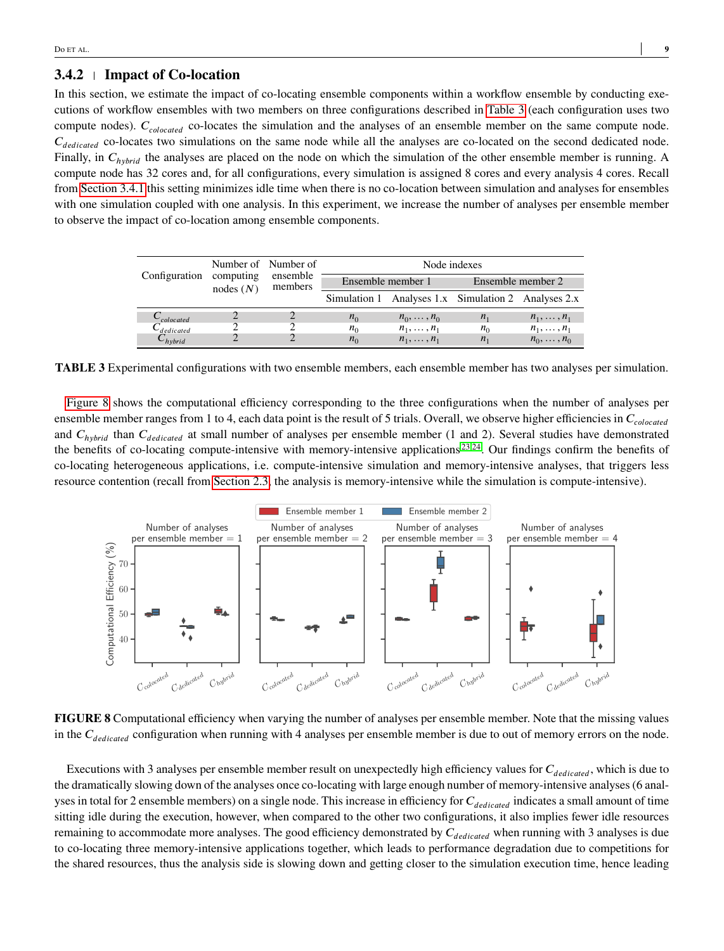## <span id="page-8-2"></span>**3.4.2 Impact of Co-location**

In this section, we estimate the impact of co-locating ensemble components within a workflow ensemble by conducting executions of workflow ensembles with two members on three configurations described in [Table 3](#page-8-0) (each configuration uses two compute nodes).  $C_{colocated}$  co-locates the simulation and the analyses of an ensemble member on the same compute node.  $C_{\text{dedicated}}$  co-locates two simulations on the same node while all the analyses are co-located on the second dedicated node. Finally, in  $C_{h<sub>vbrid</sub>}$  the analyses are placed on the node on which the simulation of the other ensemble member is running. A compute node has 32 cores and, for all configurations, every simulation is assigned 8 cores and every analysis 4 cores. Recall from [Section 3.4.1](#page-7-0) this setting minimizes idle time when there is no co-location between simulation and analyses for ensembles with one simulation coupled with one analysis. In this experiment, we increase the number of analyses per ensemble member to observe the impact of co-location among ensemble components.

<span id="page-8-0"></span>

| Configuration computing |                   | Number of Number of<br>ensemble<br>members | Node indexes |                    |                                                     |                    |  |
|-------------------------|-------------------|--------------------------------------------|--------------|--------------------|-----------------------------------------------------|--------------------|--|
|                         | $\text{nodes}(N)$ |                                            |              | Ensemble member 1  | Ensemble member 2                                   |                    |  |
|                         |                   |                                            |              |                    | Simulation 1 Analyses 1.x Simulation 2 Analyses 2.x |                    |  |
| $\cup_{colocated}$      |                   |                                            | $n_0$        | $n_0, \ldots, n_0$ | $n_{1}$                                             | $n_1, \ldots, n_1$ |  |
| $\cup$ dedicated        |                   |                                            | $n_0$        | $n_1, \ldots, n_1$ | $n_{\Omega}$                                        | $n_1, \ldots, n_1$ |  |
| $\mathbf{U}_{hvbrid}$   |                   |                                            | $n_0$        | $n_1, \ldots, n_1$ | $n_{1}$                                             | $n_0, \ldots, n_0$ |  |

**TABLE 3** Experimental configurations with two ensemble members, each ensemble member has two analyses per simulation.

[Figure 8](#page-8-1) shows the computational efficiency corresponding to the three configurations when the number of analyses per ensemble member ranges from 1 to 4, each data point is the result of 5 trials. Overall, we observe higher efficiencies in  $C_{colocated}$ and *C<sub>hybrid</sub>* than *C<sub>dedicated</sub>* at small number of analyses per ensemble member (1 and 2). Several studies have demonstrated the benefits of co-locating compute-intensive with memory-intensive applications<sup>[23](#page-17-7)[,24](#page-17-8)</sup>. Our findings confirm the benefits of co-locating heterogeneous applications, i.e. compute-intensive simulation and memory-intensive analyses, that triggers less resource contention (recall from [Section 2.3,](#page-4-2) the analysis is memory-intensive while the simulation is compute-intensive).

<span id="page-8-1"></span>

**FIGURE 8** Computational efficiency when varying the number of analyses per ensemble member. Note that the missing values in the C<sub>dedicated</sub> configuration when running with 4 analyses per ensemble member is due to out of memory errors on the node.

Executions with 3 analyses per ensemble member result on unexpectedly high efficiency values for *C*<sub>dedicated</sub>, which is due to the dramatically slowing down of the analyses once co-locating with large enough number of memory-intensive analyses (6 analyses in total for 2 ensemble members) on a single node. This increase in efficiency for  $C_{\text{dedicated}}$  indicates a small amount of time sitting idle during the execution, however, when compared to the other two configurations, it also implies fewer idle resources remaining to accommodate more analyses. The good efficiency demonstrated by  $C_{\text{detailed}}$  when running with 3 analyses is due to co-locating three memory-intensive applications together, which leads to performance degradation due to competitions for the shared resources, thus the analysis side is slowing down and getting closer to the simulation execution time, hence leading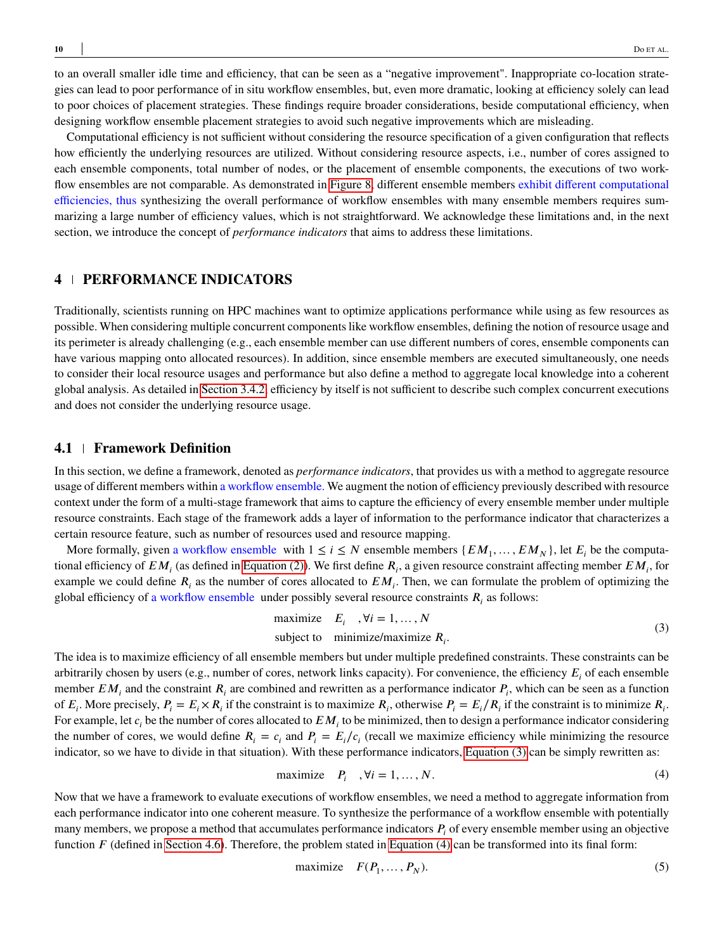to an overall smaller idle time and efficiency, that can be seen as a "negative improvement". Inappropriate co-location strategies can lead to poor performance of in situ workflow ensembles, but, even more dramatic, looking at efficiency solely can lead to poor choices of placement strategies. These findings require broader considerations, beside computational efficiency, when designing workflow ensemble placement strategies to avoid such negative improvements which are misleading.

Computational efficiency is not sufficient without considering the resource specification of a given configuration that reflects how efficiently the underlying resources are utilized. Without considering resource aspects, i.e., number of cores assigned to each ensemble components, total number of nodes, or the placement of ensemble components, the executions of two workflow ensembles are not comparable. As demonstrated in [Figure 8,](#page-8-1) different ensemble members exhibit different computational efficiencies, thus synthesizing the overall performance of workflow ensembles with many ensemble members requires summarizing a large number of efficiency values, which is not straightforward. We acknowledge these limitations and, in the next section, we introduce the concept of *performance indicators* that aims to address these limitations.

## <span id="page-9-0"></span>**4 PERFORMANCE INDICATORS**

Traditionally, scientists running on HPC machines want to optimize applications performance while using as few resources as possible. When considering multiple concurrent components like workflow ensembles, defining the notion of resource usage and its perimeter is already challenging (e.g., each ensemble member can use different numbers of cores, ensemble components can have various mapping onto allocated resources). In addition, since ensemble members are executed simultaneously, one needs to consider their local resource usages and performance but also define a method to aggregate local knowledge into a coherent global analysis. As detailed in [Section 3.4.2,](#page-8-2) efficiency by itself is not sufficient to describe such complex concurrent executions and does not consider the underlying resource usage.

## **4.1 Framework Definition**

In this section, we define a framework, denoted as *performance indicators*, that provides us with a method to aggregate resource usage of different members within a workflow ensemble. We augment the notion of efficiency previously described with resource context under the form of a multi-stage framework that aims to capture the efficiency of every ensemble member under multiple resource constraints. Each stage of the framework adds a layer of information to the performance indicator that characterizes a certain resource feature, such as number of resources used and resource mapping.

More formally, given a workflow ensemble with  $1 \le i \le N$  ensemble members  $\{EM_1, \ldots, EM_N\}$ , let  $E_i$  be the computational efficiency of  $EM_i$  (as defined in [Equation \(2\)\)](#page-6-3). We first define  $R_i$ , a given resource constraint affecting member  $EM_i$ , for example we could define  $R_i$  as the number of cores allocated to  $EM_i$ . Then, we can formulate the problem of optimizing the global efficiency of a workflow ensemble under possibly several resource constraints  $R_i$  as follows:

<span id="page-9-1"></span>maximize 
$$
E_i
$$
,  $\forall i = 1,..., N$   
subject to minimize/maximize  $R_i$ . (3)

The idea is to maximize efficiency of all ensemble members but under multiple predefined constraints. These constraints can be arbitrarily chosen by users (e.g., number of cores, network links capacity). For convenience, the efficiency  $E_i$  of each ensemble member  $EM_i$  and the constraint  $R_i$  are combined and rewritten as a performance indicator  $P_i$ , which can be seen as a function of  $E_i$ . More precisely,  $P_i = E_i \times R_i$  if the constraint is to maximize  $R_i$ , otherwise  $P_i = E_i/R_i$  if the constraint is to minimize  $R_i$ . For example, let  $c_i$  be the number of cores allocated to  $EM_i$  to be minimized, then to design a performance indicator considering the number of cores, we would define  $R_i = c_i$  and  $P_i = E_i/c_i$  (recall we maximize efficiency while minimizing the resource indicator, so we have to divide in that situation). With these performance indicators, [Equation \(3\)](#page-9-1) can be simply rewritten as:

<span id="page-9-2"></span>
$$
\text{maximize} \quad P_i \quad, \forall i = 1, \dots, N. \tag{4}
$$

Now that we have a framework to evaluate executions of workflow ensembles, we need a method to aggregate information from each performance indicator into one coherent measure. To synthesize the performance of a workflow ensemble with potentially many members, we propose a method that accumulates performance indicators  $P_i$  of every ensemble member using an objective function *F* (defined in [Section 4.6\)](#page-11-0). Therefore, the problem stated in [Equation \(4\)](#page-9-2) can be transformed into its final form:

$$
\text{maximize} \quad F(P_1, \dots, P_N). \tag{5}
$$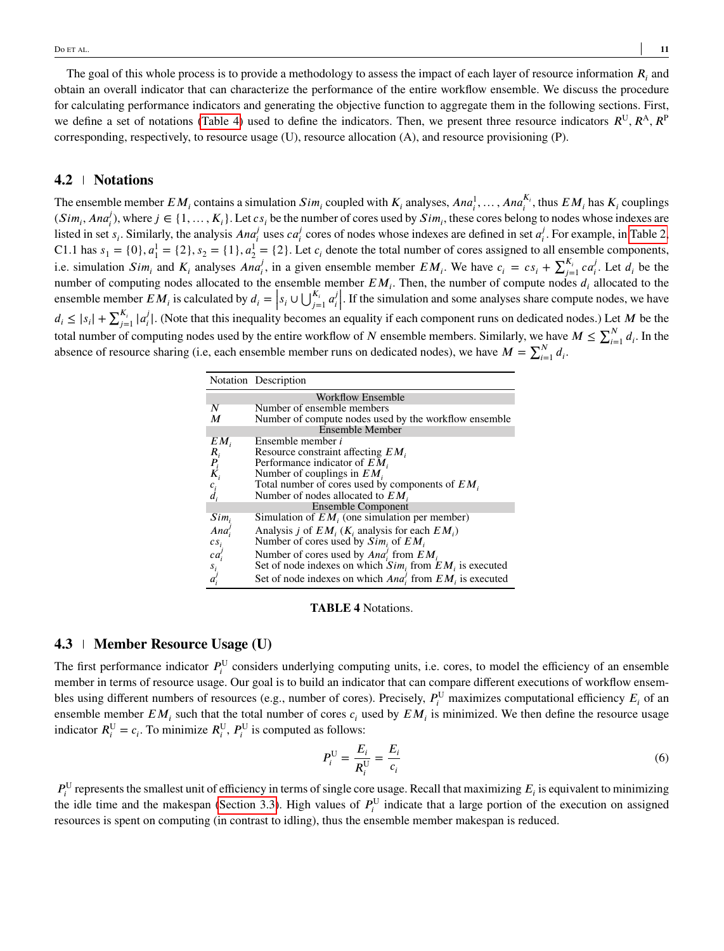The goal of this whole process is to provide a methodology to assess the impact of each layer of resource information  $R_i$  and obtain an overall indicator that can characterize the performance of the entire workflow ensemble. We discuss the procedure for calculating performance indicators and generating the objective function to aggregate them in the following sections. First, we define a set of notations [\(Table 4\)](#page-10-0) used to define the indicators. Then, we present three resource indicators  $R^U, R^A, R^P$ corresponding, respectively, to resource usage (U), resource allocation (A), and resource provisioning (P).

## **4.2 Notations**

The ensemble member  $EM_i$  contains a simulation  $Sim_i$  coupled with  $K_i$  analyses,  $Ana_i^1, \ldots, Ana_i^{K_i}$ , thus  $EM_i$  has  $K_i$  couplings  $(Sim_i, Ana_i^j)$ , where  $j \in \{1, ..., K_i\}$ . Let  $cs_i$  be the number of cores used by  $Sim_i$ , these cores belong to nodes whose indexes are listed in set  $s_i$ . Similarly, the analysis  $Ana_i^j$  uses  $ca_i^j$  $\sigma_i^j$  cores of nodes whose indexes are defined in set  $\sigma_i^j$  $\frac{J}{i}$ . For example, in [Table 2,](#page-4-0) C1.1 has  $s_1 = \{0\}, a_1^1 = \{2\}, s_2 = \{1\}, a_2^1 = \{2\}$ . Let  $c_i$  denote the total number of cores assigned to all ensemble components, i.e. simulation  $Sim_i$  and  $K_i$  analyses  $Ann'_i$ , in a given ensemble member  $EM_i$ . We have  $c_i = cs_i + \sum_{j=1}^{K_i} ca_i^{k}$  $J_i^{\prime}$ . Let  $d_i$  be the number of computing nodes allocated to the ensemble member  $EM_i$ . Then, the number of compute nodes  $d_i$  allocated to the ensemble member  $EM_i$  is calculated by  $d_i = \left| s_i \cup \bigcup_{j=1}^{K_i} a_i^j \right|$  $\mathcal{I}^j$ . If the simulation and some analyses share compute nodes, we have  $d_i \leq |s_i| + \sum_{j=1}^{K_i} |a_i^j|$  $\mathcal{F}_i^J$ . (Note that this inequality becomes an equality if each component runs on dedicated nodes.) Let M be the total number of computing nodes used by the entire workflow of *N* ensemble members. Similarly, we have  $M \leq \sum_{i=1}^{N} d_i$ . In the absence of resource sharing (i.e, each ensemble member runs on dedicated nodes), we have  $M = \sum_{i=1}^{N} d_i$ .

<span id="page-10-0"></span>

|                     | Notation Description                                           |
|---------------------|----------------------------------------------------------------|
|                     | <b>Workflow Ensemble</b>                                       |
| N                   | Number of ensemble members                                     |
| M                   | Number of compute nodes used by the workflow ensemble          |
|                     | <b>Ensemble Member</b>                                         |
| $EM_i$              | Ensemble member <i>i</i>                                       |
| $R_i$               | Resource constraint affecting $EM_i$                           |
|                     | Performance indicator of $EM_i$                                |
| $\frac{P_i}{K_i}$   | Number of couplings in $EM_i$                                  |
| $c_i$               | Total number of cores used by components of $EM_i$             |
| $d_i$               | Number of nodes allocated to $EM_i$                            |
|                     | Ensemble Component                                             |
| $Sim_i$             | Simulation of $EM_i$ (one simulation per member)               |
| $An\alpha'$         | Analysis <i>j</i> of $EM_i$ ( $K_i$ analysis for each $EM_i$ ) |
| $cs_i$              | Number of cores used by $Sim_i$ of $EM_i$                      |
| ca'                 | Number of cores used by $Anai$ from $EMi$                      |
|                     | Set of node indexes on which $Sim_i$ from $EM_i$ is executed   |
| $\frac{s_i}{a_i^j}$ | Set of node indexes on which $Ana_i^j$ from $EM_i$ is executed |

#### **TABLE 4** Notations.

### **4.3 Member Resource Usage (U)**

The first performance indicator  $P_i^U$  considers underlying computing units, i.e. cores, to model the efficiency of an ensemble member in terms of resource usage. Our goal is to build an indicator that can compare different executions of workflow ensembles using different numbers of resources (e.g., number of cores). Precisely,  $P_i^U$  maximizes computational efficiency  $E_i$  of an ensemble member  $EM_i$  such that the total number of cores  $c_i$  used by  $EM_i$  is minimized. We then define the resource usage indicator  $R_i^U = c_i$ . To minimize  $R_i^U$ ,  $P_i^U$  is computed as follows:

$$
P_i^{\text{U}} = \frac{E_i}{R_i^{\text{U}}} = \frac{E_i}{c_i} \tag{6}
$$

 $P_i^U$  represents the smallest unit of efficiency in terms of single core usage. Recall that maximizing  $E_i$  is equivalent to minimizing the idle time and the makespan [\(Section 3.3\)](#page-6-4). High values of  $P_i^U$  indicate that a large portion of the execution on assigned resources is spent on computing (in contrast to idling), thus the ensemble member makespan is reduced.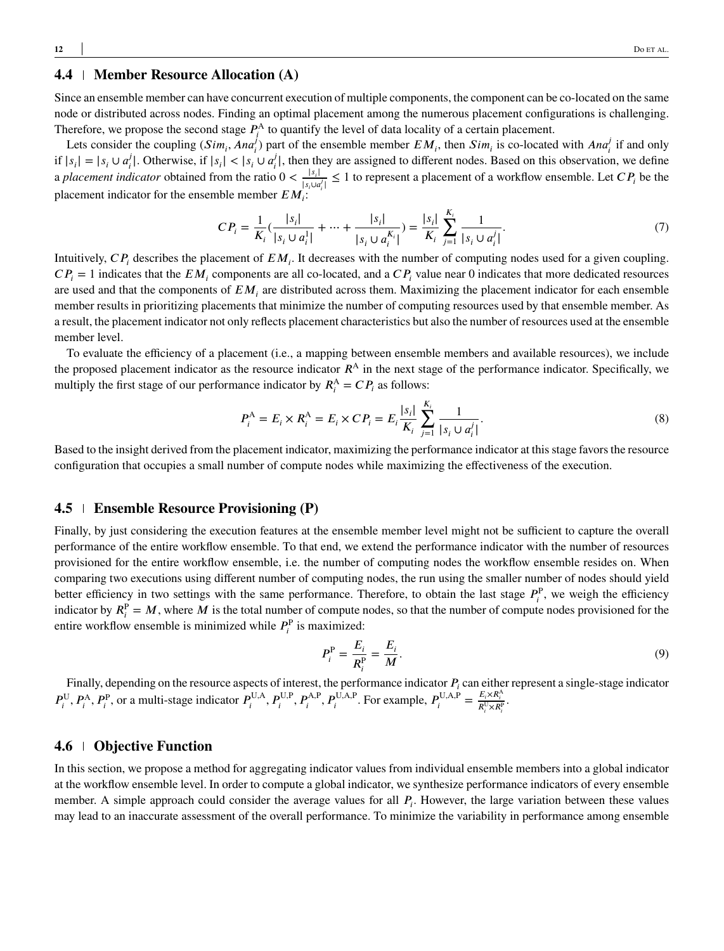## <span id="page-11-1"></span>**4.4 Member Resource Allocation (A)**

Since an ensemble member can have concurrent execution of multiple components, the component can be co-located on the same node or distributed across nodes. Finding an optimal placement among the numerous placement configurations is challenging. Therefore, we propose the second stage  $P_i^A$  to quantify the level of data locality of a certain placement.

Lets consider the coupling  $(Sim_i, Ana_i^j)$  part of the ensemble member  $EM_i$ , then  $Sim_i$  is co-located with  $Ana_i^j$  if and only  $\inf |s_i| = |s_i \cup a_i^j|$  $j_i$ . Otherwise, if  $|s_i| < |s_i \cup a_i|$  $\mathcal{F}_i^J$ , then they are assigned to different nodes. Based on this observation, we define a *placement indicator* obtained from the ratio  $0 < \frac{|s_i|}{|s_i|}$  $\frac{|s_i|}{|s_i \cup a_i'|} \leq 1$  to represent a placement of a workflow ensemble. Let  $CP_i$  be the placement indicator for the ensemble member  $EM_i$ :

$$
CP_{i} = \frac{1}{K_{i}} \left( \frac{|s_{i}|}{|s_{i} \cup a_{i}^{1}|} + \dots + \frac{|s_{i}|}{|s_{i} \cup a_{i}^{K_{i}}|} \right) = \frac{|s_{i}|}{K_{i}} \sum_{j=1}^{K_{i}} \frac{1}{|s_{i} \cup a_{i}^{j}|}. \tag{7}
$$

Intuitively,  $CP_i$  describes the placement of  $EM_i$ . It decreases with the number of computing nodes used for a given coupling.  $CP_i = 1$  indicates that the  $EM_i$  components are all co-located, and a  $CP_i$  value near 0 indicates that more dedicated resources are used and that the components of  $EM_i$  are distributed across them. Maximizing the placement indicator for each ensemble member results in prioritizing placements that minimize the number of computing resources used by that ensemble member. As a result, the placement indicator not only reflects placement characteristics but also the number of resources used at the ensemble member level.

To evaluate the efficiency of a placement (i.e., a mapping between ensemble members and available resources), we include the proposed placement indicator as the resource indicator  $R<sup>A</sup>$  in the next stage of the performance indicator. Specifically, we multiply the first stage of our performance indicator by  $R_i^A = C P_i$  as follows:

$$
P_i^{\mathcal{A}} = E_i \times R_i^{\mathcal{A}} = E_i \times CP_i = E_i \frac{|s_i|}{K_i} \sum_{j=1}^{K_i} \frac{1}{|s_i \cup a_i'|}.
$$
 (8)

Based to the insight derived from the placement indicator, maximizing the performance indicator at this stage favors the resource configuration that occupies a small number of compute nodes while maximizing the effectiveness of the execution.

## **4.5 Ensemble Resource Provisioning (P)**

Finally, by just considering the execution features at the ensemble member level might not be sufficient to capture the overall performance of the entire workflow ensemble. To that end, we extend the performance indicator with the number of resources provisioned for the entire workflow ensemble, i.e. the number of computing nodes the workflow ensemble resides on. When comparing two executions using different number of computing nodes, the run using the smaller number of nodes should yield better efficiency in two settings with the same performance. Therefore, to obtain the last stage  $P_i^P$ , we weigh the efficiency indicator by  $R_i^P = M$ , where M is the total number of compute nodes, so that the number of compute nodes provisioned for the entire workflow ensemble is minimized while  $P_i^{\text{P}}$  is maximized:

$$
P_i^{\rm P} = \frac{E_i}{R_i^{\rm P}} = \frac{E_i}{M}.\tag{9}
$$

Finally, depending on the resource aspects of interest, the performance indicator  $P_i$  can either represent a single-stage indicator  $P_i^{\text{U}}, P_i^{\text{A}}, P_i^{\text{P}}, \text{ or a multi-stage indicator } P_i^{\text{U},\text{A}}, P_i^{\text{U},\text{P}}, P_i^{\text{A},\text{P}}, P_i^{\text{U},\text{A},\text{P}}. \text{ For example, } P_i^{\text{U},\text{A},\text{P}} = \frac{E_i \times R_i^{\text{A}}}{R_i^{\text{U}} \times R_i^{\text{P}}}$ 

#### <span id="page-11-0"></span>**4.6 Objective Function**

In this section, we propose a method for aggregating indicator values from individual ensemble members into a global indicator at the workflow ensemble level. In order to compute a global indicator, we synthesize performance indicators of every ensemble member. A simple approach could consider the average values for all  $P_i$ . However, the large variation between these values may lead to an inaccurate assessment of the overall performance. To minimize the variability in performance among ensemble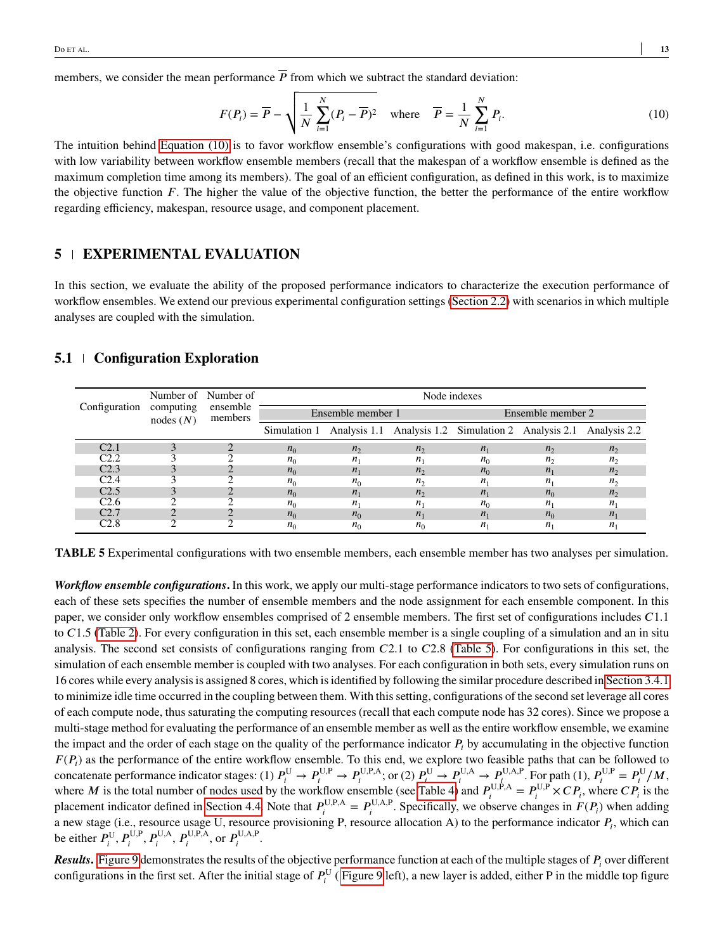members, we consider the mean performance  $\overline{P}$  from which we subtract the standard deviation:

<span id="page-12-0"></span>
$$
F(P_i) = \overline{P} - \sqrt{\frac{1}{N} \sum_{i=1}^{N} (P_i - \overline{P})^2} \quad \text{where} \quad \overline{P} = \frac{1}{N} \sum_{i=1}^{N} P_i.
$$
 (10)

The intuition behind [Equation \(10\)](#page-12-0) is to favor workflow ensemble's configurations with good makespan, i.e. configurations with low variability between workflow ensemble members (recall that the makespan of a workflow ensemble is defined as the maximum completion time among its members). The goal of an efficient configuration, as defined in this work, is to maximize the objective function  $F$ . The higher the value of the objective function, the better the performance of the entire workflow regarding efficiency, makespan, resource usage, and component placement.

## **5 EXPERIMENTAL EVALUATION**

In this section, we evaluate the ability of the proposed performance indicators to characterize the execution performance of workflow ensembles. We extend our previous experimental configuration settings [\(Section 2.2\)](#page-2-2) with scenarios in which multiple analyses are coupled with the simulation.

#### **5.1 Configuration Exploration**

<span id="page-12-1"></span>

|                  |                       | Number of Number of | Node indexes      |              |              |                                                                               |              |              |  |
|------------------|-----------------------|---------------------|-------------------|--------------|--------------|-------------------------------------------------------------------------------|--------------|--------------|--|
| Configuration    | computing<br>nodes(N) | ensemble<br>members | Ensemble member 1 |              |              | Ensemble member 2                                                             |              |              |  |
|                  |                       |                     |                   |              |              | Simulation 1 Analysis 1.1 Analysis 1.2 Simulation 2 Analysis 2.1 Analysis 2.2 |              |              |  |
| C <sub>2.1</sub> |                       |                     | $n_0$             | $n_{\gamma}$ | $n_{\gamma}$ | $n_{1}$                                                                       | $n_{2}$      | $n_{\gamma}$ |  |
| C2.2             |                       |                     | $n_0$             |              | $n_{\rm i}$  | $n_{\Omega}$                                                                  | $n_{\gamma}$ | $n_{\gamma}$ |  |
| C2.3             |                       |                     | $n_0$             | $n_{1}$      | $n_{\gamma}$ | $n_0$                                                                         | $n_{1}$      | $n_{\gamma}$ |  |
| C <sub>2.4</sub> |                       |                     | $n_0$             | $n_0$        | $n_{\alpha}$ | $n_{1}$                                                                       | $n_{1}$      | $n_{\gamma}$ |  |
| C <sub>2.5</sub> |                       |                     | $n_0$             | $n_{1}$      | $n_{\gamma}$ | $n_{1}$                                                                       | $n_0$        | $n_{\gamma}$ |  |
| C2.6             |                       |                     | $n_0$             |              |              | $n_{\alpha}$                                                                  | $n_{1}$      | п,           |  |
| C2.7             |                       |                     | $n_0$             | $n_0$        | $n_{\rm i}$  | $n_{1}$                                                                       | $n_0$        | $n_{1}$      |  |
| C2.8             |                       |                     | n <sub>0</sub>    | $n_0$        |              | $n_{1}$                                                                       | $n_{1}$      | $n_{1}$      |  |

**TABLE 5** Experimental configurations with two ensemble members, each ensemble member has two analyses per simulation.

*Workflow ensemble configurations***.** In this work, we apply our multi-stage performance indicators to two sets of configurations, each of these sets specifies the number of ensemble members and the node assignment for each ensemble component. In this paper, we consider only workflow ensembles comprised of 2 ensemble members. The first set of configurations includes  $C1.1$ to *C*1.5 [\(Table 2\)](#page-4-0). For every configuration in this set, each ensemble member is a single coupling of a simulation and an in situ analysis. The second set consists of configurations ranging from *C*2.1 to *C*2.8 [\(Table 5\)](#page-12-1). For configurations in this set, the simulation of each ensemble member is coupled with two analyses. For each configuration in both sets, every simulation runs on 16 cores while every analysis is assigned 8 cores, which is identified by following the similar procedure described in [Section 3.4.1](#page-7-0) to minimize idle time occurred in the coupling between them. With this setting, configurations of the second set leverage all cores of each compute node, thus saturating the computing resources (recall that each compute node has 32 cores). Since we propose a multi-stage method for evaluating the performance of an ensemble member as well as the entire workflow ensemble, we examine the impact and the order of each stage on the quality of the performance indicator  $P_i$  by accumulating in the objective function  $F(P_i)$  as the performance of the entire workflow ensemble. To this end, we explore two feasible paths that can be followed to concatenate performance indicator stages: (1)  $P_i^{\text{U}} \to P_i^{\text{U,P}} \to P_i^{\text{U,P,A}}$ ; or (2)  $P_i^{\text{U}} \to P_i^{\text{U,A}} \to P_i^{\text{U,A,P}}$ . For path (1),  $P_i^{\text{U,P}} = P_i^{\text{U}}/M$ , where *M* is the total number of nodes used by the workflow ensemble (see [Table 4\)](#page-10-0) and  $P_i^{U,P,A} = P_i^{U,P} \times CP_i$ , where  $CP_i$  is the placement indicator defined in [Section 4.4.](#page-11-1) Note that  $P_i^{U,P,A} = P_i^{U,A,P}$ . Specifically, we observe changes in  $F(P_i)$  when adding a new stage (i.e., resource usage U, resource provisioning P, resource allocation A) to the performance indicator  $P_i$ , which can be either  $P_i^{\text{U}}, P_i^{\text{U,P}}, P_i^{\text{U,A}}, P_i^{\text{U,P,A}}, \text{ or } P_i^{\text{U,A,P}}.$ 

*Results*. [Figure 9](#page-13-0) demonstrates the results of the objective performance function at each of the multiple stages of  $P_i$  over different configurations in the first set. After the initial stage of  $P_i^{\text{U}}$  (Figure 9 left), a new layer is added, either P in the middle top figure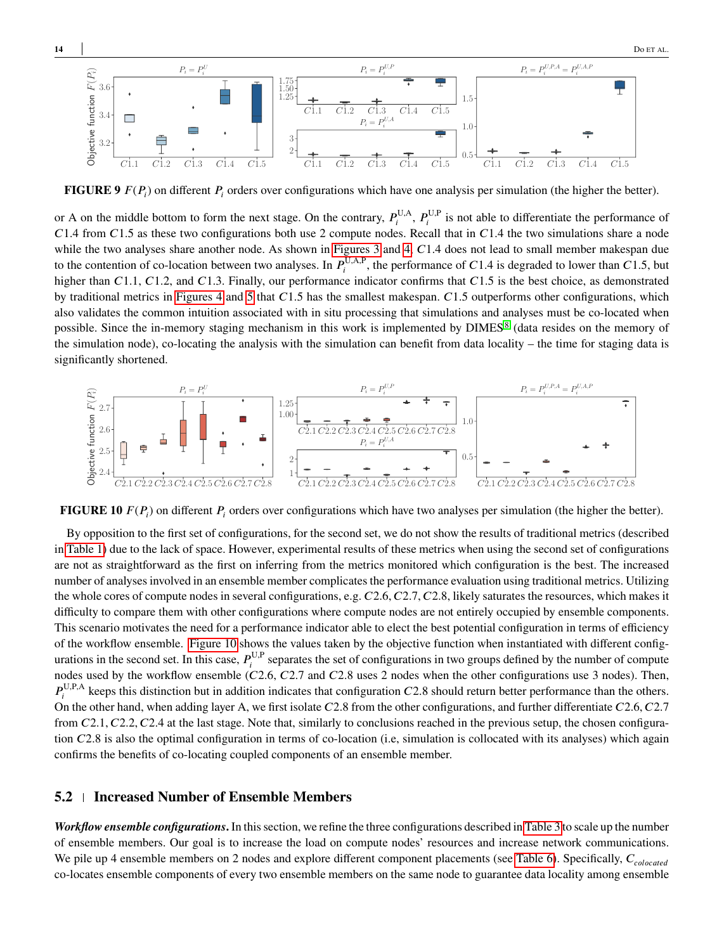<span id="page-13-0"></span>

**FIGURE 9**  $F(P_i)$  on different  $P_i$  orders over configurations which have one analysis per simulation (the higher the better).

or A on the middle bottom to form the next stage. On the contrary,  $P_i^{U,A}, P_i^{U,P}$  is not able to differentiate the performance of *𝐶*1*.*4 from *𝐶*1*.*5 as these two configurations both use 2 compute nodes. Recall that in *𝐶*1*.*4 the two simulations share a node while the two analyses share another node. As shown in [Figures 3](#page-4-1) and [4,](#page-5-0) C1.4 does not lead to small member makespan due to the contention of co-location between two analyses. In  $P_i^{U,A,P}$ , the performance of C1.4 is degraded to lower than C1.5, but higher than *C*1.1, *C*1.2, and *C*1.3. Finally, our performance indicator confirms that *C*1.5 is the best choice, as demonstrated by traditional metrics in [Figures 4](#page-5-0) and [5](#page-5-0) that *C*1.5 has the smallest makespan. *C*1.5 outperforms other configurations, which also validates the common intuition associated with in situ processing that simulations and analyses must be co-located when possible. Since the in-memory staging mechanism in this work is implemented by DIMES<sup>[8](#page-16-7)</sup> (data resides on the memory of the simulation node), co-locating the analysis with the simulation can benefit from data locality – the time for staging data is significantly shortened.

<span id="page-13-1"></span>

**FIGURE 10**  $F(P_i)$  on different  $P_i$  orders over configurations which have two analyses per simulation (the higher the better).

By opposition to the first set of configurations, for the second set, we do not show the results of traditional metrics (described in [Table 1\)](#page-2-1) due to the lack of space. However, experimental results of these metrics when using the second set of configurations are not as straightforward as the first on inferring from the metrics monitored which configuration is the best. The increased number of analyses involved in an ensemble member complicates the performance evaluation using traditional metrics. Utilizing the whole cores of compute nodes in several configurations, e.g.  $C2.6$ ,  $C2.7$ ,  $C2.8$ , likely saturates the resources, which makes it difficulty to compare them with other configurations where compute nodes are not entirely occupied by ensemble components. This scenario motivates the need for a performance indicator able to elect the best potential configuration in terms of efficiency of the workflow ensemble. [Figure 10](#page-13-1) shows the values taken by the objective function when instantiated with different configurations in the second set. In this case,  $P_i^{U,P}$  separates the set of configurations in two groups defined by the number of compute nodes used by the workflow ensemble (*C*2.6, *C*2.7 and *C*2.8 uses 2 nodes when the other configurations use 3 nodes). Then,  $P_i^{\text{U,P,A}}$  keeps this distinction but in addition indicates that configuration *C*2.8 should return better performance than the others. On the other hand, when adding layer A, we first isolate *C*2.8 from the other configurations, and further differentiate *C*2.6*, C*2.7 from C2.1, C2.2, C2.4 at the last stage. Note that, similarly to conclusions reached in the previous setup, the chosen configuration *C*2.8 is also the optimal configuration in terms of co-location (i.e. simulation is collocated with its analyses) which again confirms the benefits of co-locating coupled components of an ensemble member.

## **5.2 Increased Number of Ensemble Members**

*Workflow ensemble configurations***.** In this section, we refine the three configurations described in [Table 3](#page-8-0) to scale up the number of ensemble members. Our goal is to increase the load on compute nodes' resources and increase network communications. We pile up 4 ensemble members on 2 nodes and explore different component placements (see [Table 6\)](#page-14-0). Specifically,  $C_{colocated}$ co-locates ensemble components of every two ensemble members on the same node to guarantee data locality among ensemble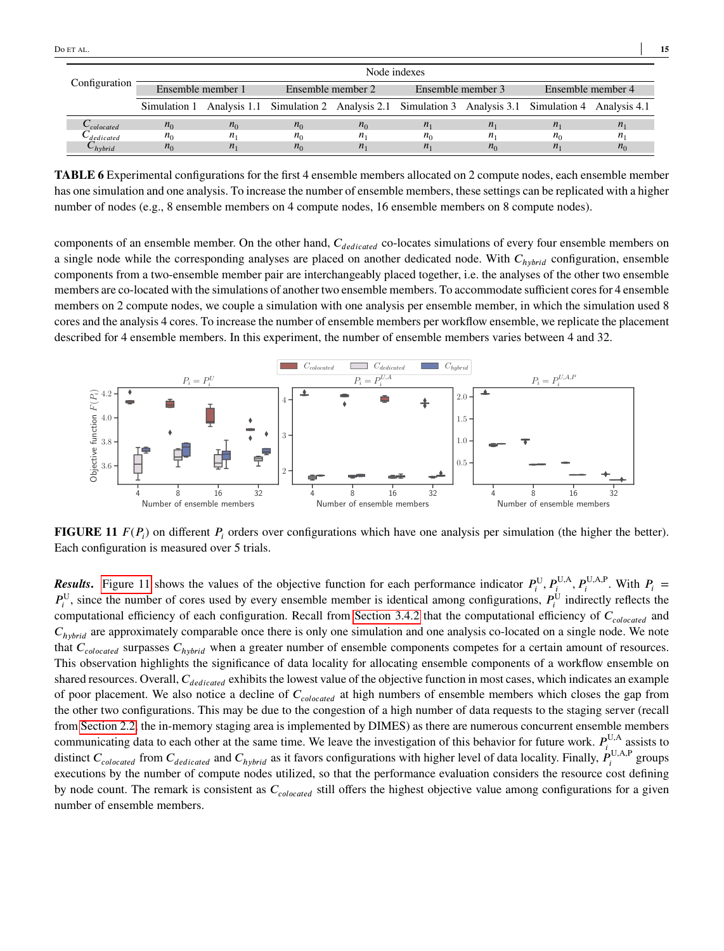<span id="page-14-0"></span>

|                      | Node indexes      |         |                                                                                                         |                  |                   |             |                   |             |
|----------------------|-------------------|---------|---------------------------------------------------------------------------------------------------------|------------------|-------------------|-------------|-------------------|-------------|
| Configuration        | Ensemble member 1 |         | Ensemble member 2                                                                                       |                  | Ensemble member 3 |             | Ensemble member 4 |             |
|                      |                   |         | Simulation 1 Analysis 1.1 Simulation 2 Analysis 2.1 Simulation 3 Analysis 3.1 Simulation 4 Analysis 4.1 |                  |                   |             |                   |             |
| $\sim$ colocated     | $n_0$             | $n_0$   | $n_0$                                                                                                   | $n_0$            | $n_{1}$           | $n_{1}$     | $n_{1}$           | $n_{\rm i}$ |
| $\backsim$ dedicated | $n_0$             | $n_{1}$ | $n_{\Omega}$                                                                                            | $\boldsymbol{n}$ | $n_{\Omega}$      | $n_{\rm i}$ | $n_0$             | n           |
| $\cup_{hybrid}$      | $n_0$             | $n_{1}$ | $n_0$                                                                                                   | $n_{1}$          | $n_{1}$           | $n_0$       | $n_{1}$           | $n_0$       |

**TABLE 6** Experimental configurations for the first 4 ensemble members allocated on 2 compute nodes, each ensemble member has one simulation and one analysis. To increase the number of ensemble members, these settings can be replicated with a higher number of nodes (e.g., 8 ensemble members on 4 compute nodes, 16 ensemble members on 8 compute nodes).

components of an ensemble member. On the other hand,  $C_{dedicated}$  co-locates simulations of every four ensemble members on a single node while the corresponding analyses are placed on another dedicated node. With  $C_{hybrid}$  configuration, ensemble components from a two-ensemble member pair are interchangeably placed together, i.e. the analyses of the other two ensemble members are co-located with the simulations of another two ensemble members. To accommodate sufficient cores for 4 ensemble members on 2 compute nodes, we couple a simulation with one analysis per ensemble member, in which the simulation used 8 cores and the analysis 4 cores. To increase the number of ensemble members per workflow ensemble, we replicate the placement described for 4 ensemble members. In this experiment, the number of ensemble members varies between 4 and 32.

<span id="page-14-1"></span>

**FIGURE 11**  $F(P_i)$  on different  $P_i$  orders over configurations which have one analysis per simulation (the higher the better). Each configuration is measured over 5 trials.

*Results.* [Figure 11](#page-14-1) shows the values of the objective function for each performance indicator  $P_i^U$ ,  $P_j^{U,A}$ ,  $P_i^{U,A,P}$ . With  $P_i =$  $P_i^U$ , since the number of cores used by every ensemble member is identical among configurations,  $P_i^U$  indirectly reflects the computational efficiency of each configuration. Recall from [Section 3.4.2](#page-8-2) that the computational efficiency of  $C_{colocated}$  and  $C_{hvbrid}$  are approximately comparable once there is only one simulation and one analysis co-located on a single node. We note that  $C_{colocated}$  surpasses  $C_{hybrid}$  when a greater number of ensemble components competes for a certain amount of resources. This observation highlights the significance of data locality for allocating ensemble components of a workflow ensemble on shared resources. Overall, *C<sub>dedicated</sub>* exhibits the lowest value of the objective function in most cases, which indicates an example of poor placement. We also notice a decline of  $C_{colocated}$  at high numbers of ensemble members which closes the gap from the other two configurations. This may be due to the congestion of a high number of data requests to the staging server (recall from [Section 2.2,](#page-2-2) the in-memory staging area is implemented by DIMES) as there are numerous concurrent ensemble members communicating data to each other at the same time. We leave the investigation of this behavior for future work.  $P_i^{U,A}$  assists to distinct *C*<sub>colocated</sub> from *C*<sub>dedicated</sub> and *C*<sub>hybrid</sub> as it favors configurations with higher level of data locality. Finally,  $P_i^{U,A,P}$  groups executions by the number of compute nodes utilized, so that the performance evaluation considers the resource cost defining by node count. The remark is consistent as  $C_{colocated}$  still offers the highest objective value among configurations for a given number of ensemble members.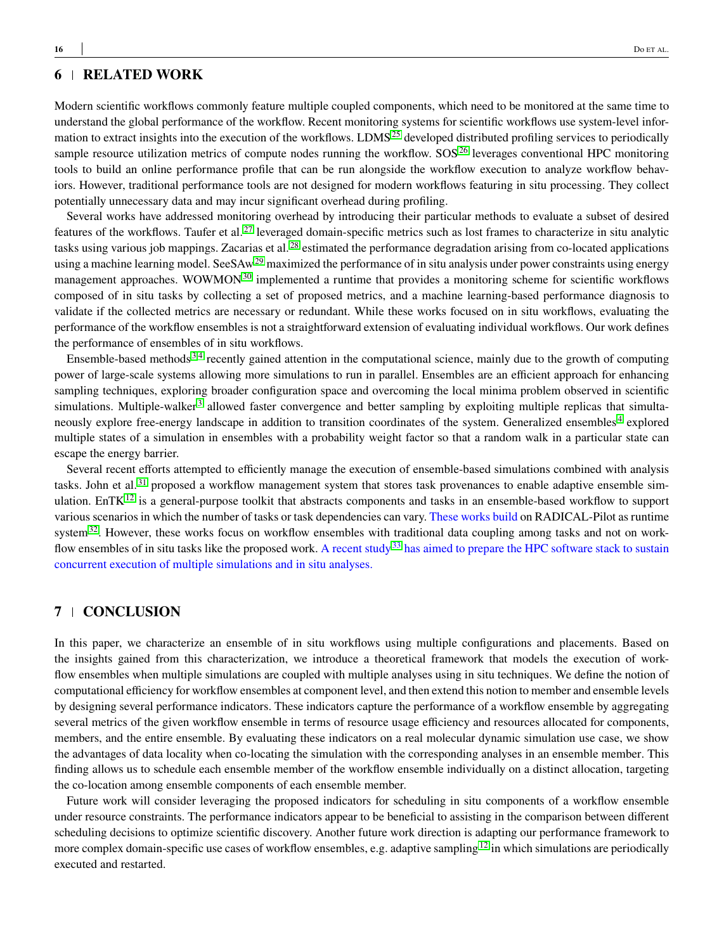## **6 RELATED WORK**

Modern scientific workflows commonly feature multiple coupled components, which need to be monitored at the same time to understand the global performance of the workflow. Recent monitoring systems for scientific workflows use system-level infor-mation to extract insights into the execution of the workflows. LDMS<sup>[25](#page-17-9)</sup> developed distributed profiling services to periodically

sample resource utilization metrics of compute nodes running the workflow. SOS $^{26}$  $^{26}$  $^{26}$  leverages conventional HPC monitoring tools to build an online performance profile that can be run alongside the workflow execution to analyze workflow behaviors. However, traditional performance tools are not designed for modern workflows featuring in situ processing. They collect potentially unnecessary data and may incur significant overhead during profiling.

Several works have addressed monitoring overhead by introducing their particular methods to evaluate a subset of desired features of the workflows. Taufer et al.<sup>[27](#page-17-11)</sup> leveraged domain-specific metrics such as lost frames to characterize in situ analytic tasks using various job mappings. Zacarias et al.<sup>[28](#page-17-12)</sup> estimated the performance degradation arising from co-located applications using a machine learning model. SeeSA $w^{29}$  $w^{29}$  $w^{29}$  maximized the performance of in situ analysis under power constraints using energy management approaches. WOWMON<sup>[30](#page-17-14)</sup> implemented a runtime that provides a monitoring scheme for scientific workflows composed of in situ tasks by collecting a set of proposed metrics, and a machine learning-based performance diagnosis to validate if the collected metrics are necessary or redundant. While these works focused on in situ workflows, evaluating the performance of the workflow ensembles is not a straightforward extension of evaluating individual workflows. Our work defines the performance of ensembles of in situ workflows.

Ensemble-based methods [3](#page-16-2)[,4](#page-16-3) recently gained attention in the computational science, mainly due to the growth of computing power of large-scale systems allowing more simulations to run in parallel. Ensembles are an efficient approach for enhancing sampling techniques, exploring broader configuration space and overcoming the local minima problem observed in scientific simulations. Multiple-walker<sup>[3](#page-16-2)</sup> allowed faster convergence and better sampling by exploiting multiple replicas that simulta-neously explore free-energy landscape in addition to transition coordinates of the system. Generalized ensembles<sup>[4](#page-16-3)</sup> explored multiple states of a simulation in ensembles with a probability weight factor so that a random walk in a particular state can escape the energy barrier.

Several recent efforts attempted to efficiently manage the execution of ensemble-based simulations combined with analysis tasks. John et al.<sup>[31](#page-17-15)</sup> proposed a workflow management system that stores task provenances to enable adaptive ensemble sim-ulation. EnTK<sup>[12](#page-16-11)</sup> is a general-purpose toolkit that abstracts components and tasks in an ensemble-based workflow to support various scenarios in which the number of tasks or task dependencies can vary. These works build on RADICAL-Pilot as runtime system $32$ . However, these works focus on workflow ensembles with traditional data coupling among tasks and not on work-flow ensembles of in situ tasks like the proposed work. A recent study<sup>[33](#page-17-17)</sup> has aimed to prepare the HPC software stack to sustain concurrent execution of multiple simulations and in situ analyses.

# **7 CONCLUSION**

In this paper, we characterize an ensemble of in situ workflows using multiple configurations and placements. Based on the insights gained from this characterization, we introduce a theoretical framework that models the execution of workflow ensembles when multiple simulations are coupled with multiple analyses using in situ techniques. We define the notion of computational efficiency for workflow ensembles at component level, and then extend this notion to member and ensemble levels by designing several performance indicators. These indicators capture the performance of a workflow ensemble by aggregating several metrics of the given workflow ensemble in terms of resource usage efficiency and resources allocated for components, members, and the entire ensemble. By evaluating these indicators on a real molecular dynamic simulation use case, we show the advantages of data locality when co-locating the simulation with the corresponding analyses in an ensemble member. This finding allows us to schedule each ensemble member of the workflow ensemble individually on a distinct allocation, targeting the co-location among ensemble components of each ensemble member.

Future work will consider leveraging the proposed indicators for scheduling in situ components of a workflow ensemble under resource constraints. The performance indicators appear to be beneficial to assisting in the comparison between different scheduling decisions to optimize scientific discovery. Another future work direction is adapting our performance framework to more complex domain-specific use cases of workflow ensembles, e.g. adaptive sampling<sup>[12](#page-16-11)</sup> in which simulations are periodically executed and restarted.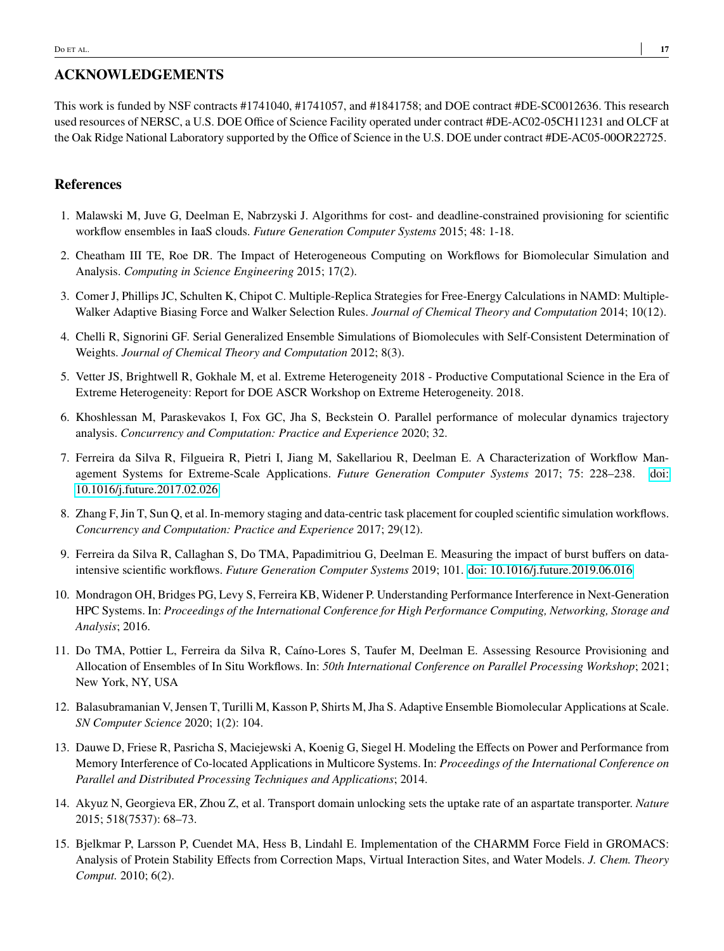# **ACKNOWLEDGEMENTS**

This work is funded by NSF contracts #1741040, #1741057, and #1841758; and DOE contract #DE-SC0012636. This research used resources of NERSC, a U.S. DOE Office of Science Facility operated under contract #DE-AC02-05CH11231 and OLCF at the Oak Ridge National Laboratory supported by the Office of Science in the U.S. DOE under contract #DE-AC05-00OR22725.

## **References**

- <span id="page-16-0"></span>1. Malawski M, Juve G, Deelman E, Nabrzyski J. Algorithms for cost- and deadline-constrained provisioning for scientific workflow ensembles in IaaS clouds. *Future Generation Computer Systems* 2015; 48: 1-18.
- <span id="page-16-1"></span>2. Cheatham III TE, Roe DR. The Impact of Heterogeneous Computing on Workflows for Biomolecular Simulation and Analysis. *Computing in Science Engineering* 2015; 17(2).
- <span id="page-16-2"></span>3. Comer J, Phillips JC, Schulten K, Chipot C. Multiple-Replica Strategies for Free-Energy Calculations in NAMD: Multiple-Walker Adaptive Biasing Force and Walker Selection Rules. *Journal of Chemical Theory and Computation* 2014; 10(12).
- <span id="page-16-3"></span>4. Chelli R, Signorini GF. Serial Generalized Ensemble Simulations of Biomolecules with Self-Consistent Determination of Weights. *Journal of Chemical Theory and Computation* 2012; 8(3).
- <span id="page-16-4"></span>5. Vetter JS, Brightwell R, Gokhale M, et al. Extreme Heterogeneity 2018 - Productive Computational Science in the Era of Extreme Heterogeneity: Report for DOE ASCR Workshop on Extreme Heterogeneity. 2018.
- <span id="page-16-5"></span>6. Khoshlessan M, Paraskevakos I, Fox GC, Jha S, Beckstein O. Parallel performance of molecular dynamics trajectory analysis. *Concurrency and Computation: Practice and Experience* 2020; 32.
- <span id="page-16-6"></span>7. Ferreira da Silva R, Filgueira R, Pietri I, Jiang M, Sakellariou R, Deelman E. A Characterization of Workflow Management Systems for Extreme-Scale Applications. *Future Generation Computer Systems* 2017; 75: 228–238. [doi:](http://dx.doi.org/10.1016/j.future.2017.02.026) [10.1016/j.future.2017.02.026](http://dx.doi.org/10.1016/j.future.2017.02.026)
- <span id="page-16-7"></span>8. Zhang F, Jin T, Sun Q, et al. In-memory staging and data-centric task placement for coupled scientific simulation workflows. *Concurrency and Computation: Practice and Experience* 2017; 29(12).
- <span id="page-16-8"></span>9. Ferreira da Silva R, Callaghan S, Do TMA, Papadimitriou G, Deelman E. Measuring the impact of burst buffers on dataintensive scientific workflows. *Future Generation Computer Systems* 2019; 101. [doi: 10.1016/j.future.2019.06.016](http://dx.doi.org/10.1016/j.future.2019.06.016)
- <span id="page-16-9"></span>10. Mondragon OH, Bridges PG, Levy S, Ferreira KB, Widener P. Understanding Performance Interference in Next-Generation HPC Systems. In: *Proceedings of the International Conference for High Performance Computing, Networking, Storage and Analysis*; 2016.
- <span id="page-16-10"></span>11. Do TMA, Pottier L, Ferreira da Silva R, Caíno-Lores S, Taufer M, Deelman E. Assessing Resource Provisioning and Allocation of Ensembles of In Situ Workflows. In: *50th International Conference on Parallel Processing Workshop*; 2021; New York, NY, USA
- <span id="page-16-11"></span>12. Balasubramanian V, Jensen T, Turilli M, Kasson P, Shirts M, Jha S. Adaptive Ensemble Biomolecular Applications at Scale. *SN Computer Science* 2020; 1(2): 104.
- <span id="page-16-12"></span>13. Dauwe D, Friese R, Pasricha S, Maciejewski A, Koenig G, Siegel H. Modeling the Effects on Power and Performance from Memory Interference of Co-located Applications in Multicore Systems. In: *Proceedings of the International Conference on Parallel and Distributed Processing Techniques and Applications*; 2014.
- <span id="page-16-13"></span>14. Akyuz N, Georgieva ER, Zhou Z, et al. Transport domain unlocking sets the uptake rate of an aspartate transporter. *Nature* 2015; 518(7537): 68–73.
- <span id="page-16-14"></span>15. Bjelkmar P, Larsson P, Cuendet MA, Hess B, Lindahl E. Implementation of the CHARMM Force Field in GROMACS: Analysis of Protein Stability Effects from Correction Maps, Virtual Interaction Sites, and Water Models. *J. Chem. Theory Comput.* 2010; 6(2).